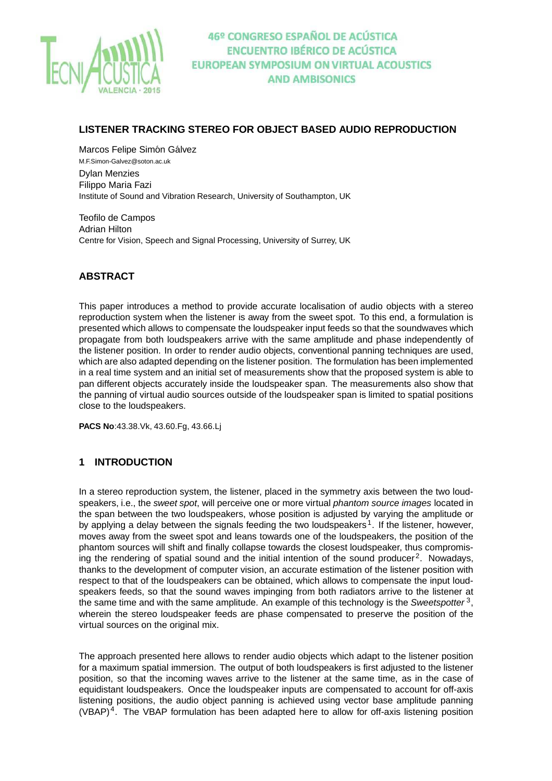

### **LISTENER TRACKING STEREO FOR OBJECT BASED AUDIO REPRODUCTION**

Marcos Felipe Simón Gálvez M.F.Simon-Galvez@soton.ac.uk Dylan Menzies Filippo Maria Fazi Institute of Sound and Vibration Research, University of Southampton, UK

Teofilo de Campos Adrian Hilton Centre for Vision, Speech and Signal Processing, University of Surrey, UK

## **ABSTRACT**

This paper introduces a method to provide accurate localisation of audio objects with a stereo reproduction system when the listener is away from the sweet spot. To this end, a formulation is presented which allows to compensate the loudspeaker input feeds so that the soundwaves which propagate from both loudspeakers arrive with the same amplitude and phase independently of the listener position. In order to render audio objects, conventional panning techniques are used, which are also adapted depending on the listener position. The formulation has been implemented in a real time system and an initial set of measurements show that the proposed system is able to pan different objects accurately inside the loudspeaker span. The measurements also show that the panning of virtual audio sources outside of the loudspeaker span is limited to spatial positions close to the loudspeakers.

**PACS No**:43.38.Vk, 43.60.Fg, 43.66.Lj

### **1 INTRODUCTION**

In a stereo reproduction system, the listener, placed in the symmetry axis between the two loudspeakers, i.e., the sweet spot, will perceive one or more virtual phantom source images located in the span between the two loudspeakers, whose position is adjusted by varying the amplitude or by applying a delay between the signals feeding the two loudspeakers<sup>1</sup>. If the listener, however, moves away from the sweet spot and leans towards one of the loudspeakers, the position of the phantom sources will shift and finally collapse towards the closest loudspeaker, thus compromising the rendering of spatial sound and the initial intention of the sound producer<sup>2</sup>. Nowadays, thanks to the development of computer vision, an accurate estimation of the listener position with respect to that of the loudspeakers can be obtained, which allows to compensate the input loudspeakers feeds, so that the sound waves impinging from both radiators arrive to the listener at the same time and with the same amplitude. An example of this technology is the Sweetspotter<sup>3</sup>, wherein the stereo loudspeaker feeds are phase compensated to preserve the position of the virtual sources on the original mix.

The approach presented here allows to render audio objects which adapt to the listener position for a maximum spatial immersion. The output of both loudspeakers is first adjusted to the listener position, so that the incoming waves arrive to the listener at the same time, as in the case of equidistant loudspeakers. Once the loudspeaker inputs are compensated to account for off-axis listening positions, the audio object panning is achieved using vector base amplitude panning  $(VBAP)<sup>4</sup>$ . The VBAP formulation has been adapted here to allow for off-axis listening position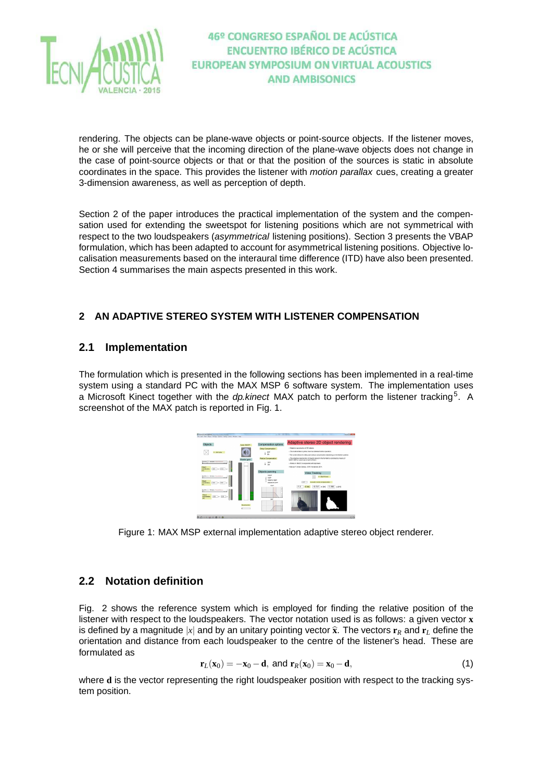

rendering. The objects can be plane-wave objects or point-source objects. If the listener moves, he or she will perceive that the incoming direction of the plane-wave objects does not change in the case of point-source objects or that or that the position of the sources is static in absolute coordinates in the space. This provides the listener with *motion parallax* cues, creating a greater 3-dimension awareness, as well as perception of depth.

Section 2 of the paper introduces the practical implementation of the system and the compensation used for extending the sweetspot for listening positions which are not symmetrical with respect to the two loudspeakers (asymmetrical listening positions). Section 3 presents the VBAP formulation, which has been adapted to account for asymmetrical listening positions. Objective localisation measurements based on the interaural time difference (ITD) have also been presented. Section 4 summarises the main aspects presented in this work.

## **2 AN ADAPTIVE STEREO SYSTEM WITH LISTENER COMPENSATION**

## **2.1 Implementation**

The formulation which is presented in the following sections has been implemented in a real-time system using a standard PC with the MAX MSP 6 software system. The implementation uses a Microsoft Kinect together with the *dp.kinect* MAX patch to perform the listener tracking<sup>5</sup>. A screenshot of the MAX patch is reported in Fig. 1.



Figure 1: MAX MSP external implementation adaptive stereo object renderer.

## **2.2 Notation definition**

Fig. 2 shows the reference system which is employed for finding the relative position of the listener with respect to the loudspeakers. The vector notation used is as follows: a given vector **x** is defined by a magnitude  $|x|$  and by an unitary pointing vector  $\hat{\mathbf{x}}$ . The vectors  $\mathbf{r}_R$  and  $\mathbf{r}_L$  define the orientation and distance from each loudspeaker to the centre of the listener's head. These are formulated as

$$
\mathbf{r}_L(\mathbf{x}_0) = -\mathbf{x}_0 - \mathbf{d}, \text{ and } \mathbf{r}_R(\mathbf{x}_0) = \mathbf{x}_0 - \mathbf{d}, \tag{1}
$$

where **d** is the vector representing the right loudspeaker position with respect to the tracking system position.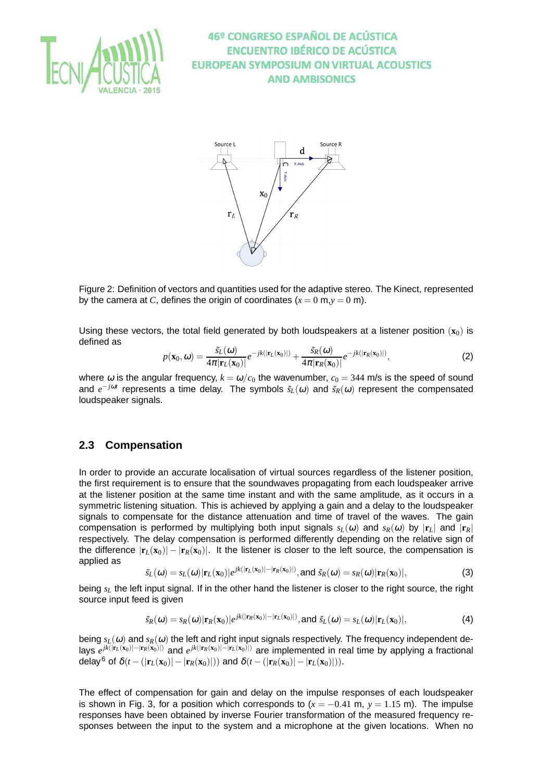



Figure 2: Definition of vectors and quantities used for the adaptive stereo. The Kinect, represented by the camera at *C*, defines the origin of coordinates  $(x = 0 \text{ m}, y = 0 \text{ m})$ .

Using these vectors, the total field generated by both loudspeakers at a listener position  $(x_0)$  is defined as

$$
p(\mathbf{x}_0, \omega) = \frac{\tilde{s}_L(\omega)}{4\pi |\mathbf{r}_L(\mathbf{x}_0)|} e^{-jk(|\mathbf{r}_L(\mathbf{x}_0)|)} + \frac{\tilde{s}_R(\omega)}{4\pi |\mathbf{r}_R(\mathbf{x}_0)|} e^{-jk(|\mathbf{r}_R(\mathbf{x}_0)|)},
$$
(2)

where  $\omega$  is the angular frequency,  $k = \omega/c_0$  the wavenumber,  $c_0 = 344$  m/s is the speed of sound and *e<sup>-jωt</sup>* represents a time delay. The symbols  $\tilde{s}_L$ (ω) and  $\tilde{s}_R$ (ω) represent the compensated loudspeaker signals.

### **2.3 Compensation**

In order to provide an accurate localisation of virtual sources regardless of the listener position, the first requirement is to ensure that the soundwaves propagating from each loudspeaker arrive at the listener position at the same time instant and with the same amplitude, as it occurs in a symmetric listening situation. This is achieved by applying a gain and a delay to the loudspeaker signals to compensate for the distance attenuation and time of travel of the waves. The gain compensation is performed by multiplying both input signals  $s_L(\omega)$  and  $s_R(\omega)$  by  $|\mathbf{r}_L|$  and  $|\mathbf{r}_R|$ respectively. The delay compensation is performed differently depending on the relative sign of the difference  $|\mathbf{r}_L(\mathbf{x}_0)| - |\mathbf{r}_R(\mathbf{x}_0)|$ . It the listener is closer to the left source, the compensation is applied as

$$
\tilde{s}_L(\omega) = s_L(\omega) |\mathbf{r}_L(\mathbf{x}_0)| e^{jk(|\mathbf{r}_L(\mathbf{x}_0)| - |\mathbf{r}_R(\mathbf{x}_0)|)}, \text{and } \tilde{s}_R(\omega) = s_R(\omega) |\mathbf{r}_R(\mathbf{x}_0)|,
$$
\n(3)

being *s<sup>L</sup>* the left input signal. If in the other hand the listener is closer to the right source, the right source input feed is given

$$
\tilde{s}_R(\omega) = s_R(\omega) |\mathbf{r}_R(\mathbf{x}_0)| e^{jk(|\mathbf{r}_R(\mathbf{x}_0)| - |\mathbf{r}_L(\mathbf{x}_0)|)}, \text{and } \tilde{s}_L(\omega) = s_L(\omega) |\mathbf{r}_L(\mathbf{x}_0)|,
$$
\n(4)

being  $s_L(\omega)$  and  $s_R(\omega)$  the left and right input signals respectively. The frequency independent delays *e jk*(|**r***L*(**x**0)|−|**r***R*(**x**0)|) and *e jk*(|**r***R*(**x**0)|−|**r***L*(**x**0)|) are implemented in real time by applying a fractional delay<sup>6</sup> of  $\delta(t - (|\mathbf{r}_L(\mathbf{x}_0)| - |\mathbf{r}_R(\mathbf{x}_0)|))$  and  $\delta(t - (|\mathbf{r}_R(\mathbf{x}_0)| - |\mathbf{r}_L(\mathbf{x}_0)|)).$ 

The effect of compensation for gain and delay on the impulse responses of each loudspeaker is shown in Fig. 3, for a position which corresponds to  $(x = -0.41 \text{ m}, y = 1.15 \text{ m})$ . The impulse responses have been obtained by inverse Fourier transformation of the measured frequency responses between the input to the system and a microphone at the given locations. When no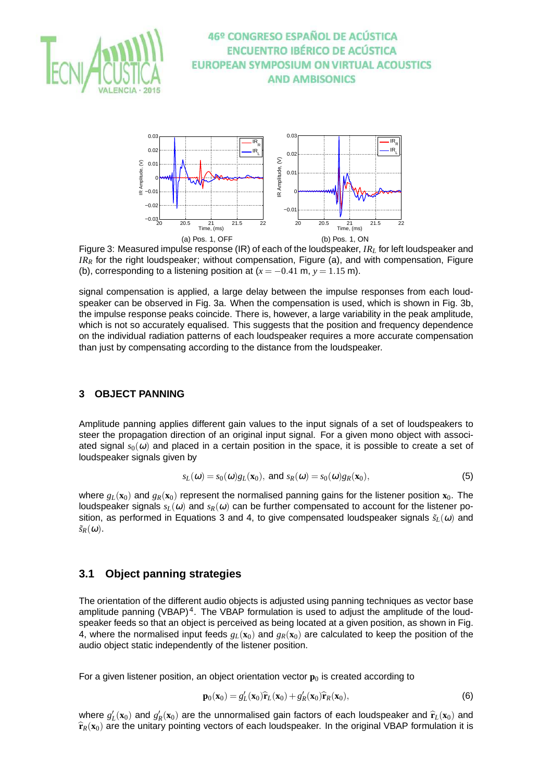



Figure 3: Measured impulse response (IR) of each of the loudspeaker, *IR<sup>L</sup>* for left loudspeaker and *IR<sup>R</sup>* for the right loudspeaker; without compensation, Figure (a), and with compensation, Figure (b), corresponding to a listening position at  $(x = -0.41 \text{ m}, y = 1.15 \text{ m})$ .

signal compensation is applied, a large delay between the impulse responses from each loudspeaker can be observed in Fig. 3a. When the compensation is used, which is shown in Fig. 3b, the impulse response peaks coincide. There is, however, a large variability in the peak amplitude, which is not so accurately equalised. This suggests that the position and frequency dependence on the individual radiation patterns of each loudspeaker requires a more accurate compensation than just by compensating according to the distance from the loudspeaker.

#### **3 OBJECT PANNING**

Amplitude panning applies different gain values to the input signals of a set of loudspeakers to steer the propagation direction of an original input signal. For a given mono object with associated signal  $s<sub>0</sub>(\omega)$  and placed in a certain position in the space, it is possible to create a set of loudspeaker signals given by

$$
s_L(\omega) = s_0(\omega)g_L(\mathbf{x}_0), \text{ and } s_R(\omega) = s_0(\omega)g_R(\mathbf{x}_0),
$$
\n(5)

where  $g_L(\mathbf{x}_0)$  and  $g_R(\mathbf{x}_0)$  represent the normalised panning gains for the listener position  $\mathbf{x}_0$ . The loudspeaker signals  $s_L(\omega)$  and  $s_R(\omega)$  can be further compensated to account for the listener position, as performed in Equations 3 and 4, to give compensated loudspeaker signals  $\tilde{s}_L(\omega)$  and  $\tilde{s}_R(\omega)$ .

### **3.1 Object panning strategies**

The orientation of the different audio objects is adjusted using panning techniques as vector base amplitude panning (VBAP)<sup>4</sup>. The VBAP formulation is used to adjust the amplitude of the loudspeaker feeds so that an object is perceived as being located at a given position, as shown in Fig. 4, where the normalised input feeds  $g_L(\mathbf{x}_0)$  and  $g_R(\mathbf{x}_0)$  are calculated to keep the position of the audio object static independently of the listener position.

For a given listener position, an object orientation vector  $\mathbf{p}_0$  is created according to

$$
\mathbf{p}_0(\mathbf{x}_0) = g_L'(\mathbf{x}_0)\hat{\mathbf{r}}_L(\mathbf{x}_0) + g_R'(\mathbf{x}_0)\hat{\mathbf{r}}_R(\mathbf{x}_0),
$$
\n(6)

where  $g'_{L}(\mathbf{x}_0)$  and  $g'_{R}(\mathbf{x}_0)$  are the unnormalised gain factors of each loudspeaker and  $\hat{\mathbf{r}}_L(\mathbf{x}_0)$  and  $\hat{\mathbf{r}}_L(\mathbf{x}_0)$  and  $\hat{\mathbf{r}}_L(\mathbf{x}_0)$  and  $\hat{\mathbf{r}}_L(\mathbf{x}_0)$  and  $\hat{\mathbf{r}}_L(\mathbf{x}_0)$  and  $\hat$  $\hat{\mathbf{r}}_R(\mathbf{x}_0)$  are the unitary pointing vectors of each loudspeaker. In the original VBAP formulation it is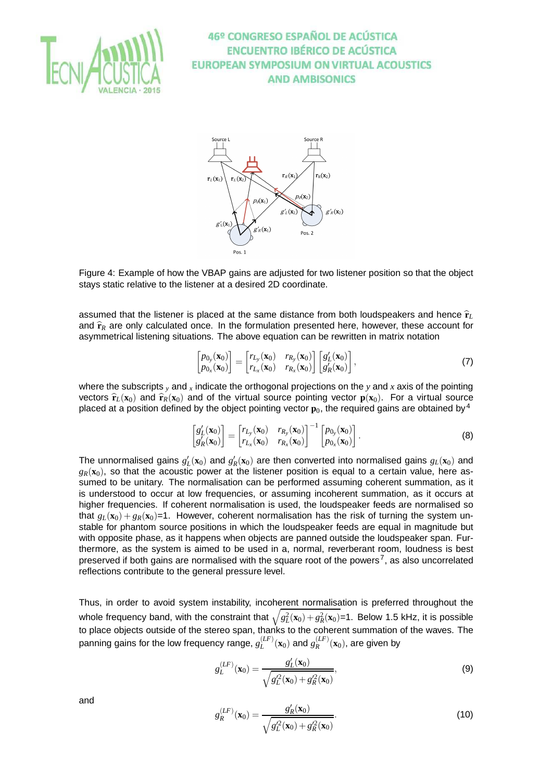



Figure 4: Example of how the VBAP gains are adjusted for two listener position so that the object stays static relative to the listener at a desired 2D coordinate.

assumed that the listener is placed at the same distance from both loudspeakers and hence  $\hat{\mathbf{r}}_L$ and  $\hat{\mathbf{r}}_R$  are only calculated once. In the formulation presented here, however, these account for asymmetrical listening situations. The above equation can be rewritten in matrix notation

$$
\begin{bmatrix} p_{0y}(\mathbf{x}_0) \\ p_{0x}(\mathbf{x}_0) \end{bmatrix} = \begin{bmatrix} r_{L_y}(\mathbf{x}_0) & r_{R_y}(\mathbf{x}_0) \\ r_{L_x}(\mathbf{x}_0) & r_{R_x}(\mathbf{x}_0) \end{bmatrix} \begin{bmatrix} g'_L(\mathbf{x}_0) \\ g'_R(\mathbf{x}_0) \end{bmatrix},
$$
\n(7)

where the subscripts *<sup>y</sup>* and *<sup>x</sup>* indicate the orthogonal projections on the *y* and *x* axis of the pointing vectors  $\hat{\mathbf{r}}_L(\mathbf{x}_0)$  and  $\hat{\mathbf{r}}_R(\mathbf{x}_0)$  and of the virtual source pointing vector  $\mathbf{p}(\mathbf{x}_0)$ . For a virtual source placed at a position defined by the object pointing vector  $\mathbf{p}_0$ , the required gains are obtained by <sup>4</sup>

$$
\begin{bmatrix} g_L'(\mathbf{x}_0) \\ g_R'(\mathbf{x}_0) \end{bmatrix} = \begin{bmatrix} r_{L_y}(\mathbf{x}_0) & r_{R_y}(\mathbf{x}_0) \\ r_{L_x}(\mathbf{x}_0) & r_{R_x}(\mathbf{x}_0) \end{bmatrix}^{-1} \begin{bmatrix} p_{0_y}(\mathbf{x}_0) \\ p_{0_x}(\mathbf{x}_0) \end{bmatrix}.
$$
 (8)

The unnormalised gains  $g'_L(\mathbf{x}_0)$  and  $g'_R(\mathbf{x}_0)$  are then converted into normalised gains  $g_L(\mathbf{x}_0)$  and  $g_R(\mathbf{x}_0)$ , so that the acoustic power at the listener position is equal to a certain value, here assumed to be unitary. The normalisation can be performed assuming coherent summation, as it is understood to occur at low frequencies, or assuming incoherent summation, as it occurs at higher frequencies. If coherent normalisation is used, the loudspeaker feeds are normalised so that  $g_L(\mathbf{x}_0) + g_R(\mathbf{x}_0) = 1$ . However, coherent normalisation has the risk of turning the system unstable for phantom source positions in which the loudspeaker feeds are equal in magnitude but with opposite phase, as it happens when objects are panned outside the loudspeaker span. Furthermore, as the system is aimed to be used in a, normal, reverberant room, loudness is best preserved if both gains are normalised with the square root of the powers<sup>7</sup>, as also uncorrelated reflections contribute to the general pressure level.

Thus, in order to avoid system instability, incoherent normalisation is preferred throughout the whole frequency band, with the constraint that  $\sqrt{g_L^2(\mathbf{x}_0) + g_R^2(\mathbf{x}_0)}$ =1. Below 1.5 kHz, it is possible to place objects outside of the stereo span, thanks to the coherent summation of the waves. The panning gains for the low frequency range,  $g^{(LF)}_L$  $L^{(LF)}(\mathbf{x}_0)$  and  $g_R^{(LF)}$  $R^{(LF)}(\mathbf{x}_0)$ , are given by

$$
g_L^{(LF)}(\mathbf{x}_0) = \frac{g_L'(\mathbf{x}_0)}{\sqrt{g_L'^2(\mathbf{x}_0) + g_R'^2(\mathbf{x}_0)}},
$$
(9)

and

$$
g_R^{(LF)}(\mathbf{x}_0) = \frac{g_R'(\mathbf{x}_0)}{\sqrt{g_L^{22}(\mathbf{x}_0) + g_R^{22}(\mathbf{x}_0)}}.
$$
(10)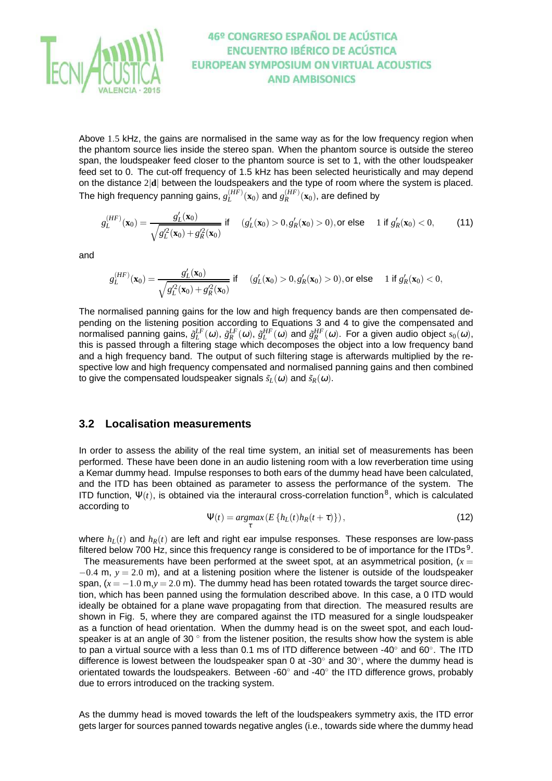

Above 1.5 kHz, the gains are normalised in the same way as for the low frequency region when the phantom source lies inside the stereo span. When the phantom source is outside the stereo span, the loudspeaker feed closer to the phantom source is set to 1, with the other loudspeaker feed set to 0. The cut-off frequency of 1.5 kHz has been selected heuristically and may depend on the distance 2|**d**| between the loudspeakers and the type of room where the system is placed. The high frequency panning gains,  $g_L^{(HF)}(\mathbf{x}_0)$  and  $g_R^{(HF)}(\mathbf{x}_0)$ , are defined by

$$
g_L^{(HF)}(\mathbf{x}_0) = \frac{g_L'(\mathbf{x}_0)}{\sqrt{g_L'^2(\mathbf{x}_0) + g_R'^2(\mathbf{x}_0)}} \text{ if } \quad (g_L'(\mathbf{x}_0) > 0, g_R'(\mathbf{x}_0) > 0), \text{ or else } \quad 1 \text{ if } g_R'(\mathbf{x}_0) < 0, \tag{11}
$$

and

$$
g_L^{(HF)}(\mathbf{x}_0) = \frac{g_L'(\mathbf{x}_0)}{\sqrt{g_L'^2(\mathbf{x}_0) + g_R'^2(\mathbf{x}_0)}} \text{ if } \quad (g_L'(\mathbf{x}_0) > 0, g_R'(\mathbf{x}_0) > 0), \text{or else } \quad 1 \text{ if } g_R'(\mathbf{x}_0) < 0,
$$

The normalised panning gains for the low and high frequency bands are then compensated depending on the listening position according to Equations 3 and 4 to give the compensated and normalised panning gains,  $\tilde{g}_L^{LF}(\omega)$ ,  $\tilde{g}_R^{HF}(\omega)$ ,  $\tilde{g}_L^{HF}(\omega)$  and  $\tilde{g}_R^{HF}(\omega)$ . For a given audio object  $s_0(\omega)$ , this is passed through a filtering stage which decomposes the object into a low frequency band and a high frequency band. The output of such filtering stage is afterwards multiplied by the respective low and high frequency compensated and normalised panning gains and then combined to give the compensated loudspeaker signals  $\tilde{s}_L(\omega)$  and  $\tilde{s}_R(\omega)$ .

#### **3.2 Localisation measurements**

In order to assess the ability of the real time system, an initial set of measurements has been performed. These have been done in an audio listening room with a low reverberation time using a Kemar dummy head. Impulse responses to both ears of the dummy head have been calculated, and the ITD has been obtained as parameter to assess the performance of the system. The ITD function,  $\Psi(t)$ , is obtained via the interaural cross-correlation function<sup>8</sup>, which is calculated according to

$$
\Psi(t) = \underset{\tau}{\operatorname{argmax}} \left( E\left\{ h_L(t)h_R(t+\tau) \right\} \right),\tag{12}
$$

where  $h_L(t)$  and  $h_R(t)$  are left and right ear impulse responses. These responses are low-pass filtered below 700 Hz, since this frequency range is considered to be of importance for the ITDs<sup>9</sup>.

The measurements have been performed at the sweet spot, at an asymmetrical position,  $(x =$ −0.4 m, *y* = 2.0 m), and at a listening position where the listener is outside of the loudspeaker span,  $(x = -1.0 \text{ m}, y = 2.0 \text{ m})$ . The dummy head has been rotated towards the target source direction, which has been panned using the formulation described above. In this case, a 0 ITD would ideally be obtained for a plane wave propagating from that direction. The measured results are shown in Fig. 5, where they are compared against the ITD measured for a single loudspeaker as a function of head orientation. When the dummy head is on the sweet spot, and each loudspeaker is at an angle of 30 $\degree$  from the listener position, the results show how the system is able to pan a virtual source with a less than 0.1 ms of ITD difference between -40 $^{\circ}$  and 60 $^{\circ}$ . The ITD difference is lowest between the loudspeaker span 0 at -30 $^{\circ}$  and 30 $^{\circ}$ , where the dummy head is orientated towards the loudspeakers. Between -60 $^{\circ}$  and -40 $^{\circ}$  the ITD difference grows, probably due to errors introduced on the tracking system.

As the dummy head is moved towards the left of the loudspeakers symmetry axis, the ITD error gets larger for sources panned towards negative angles (i.e., towards side where the dummy head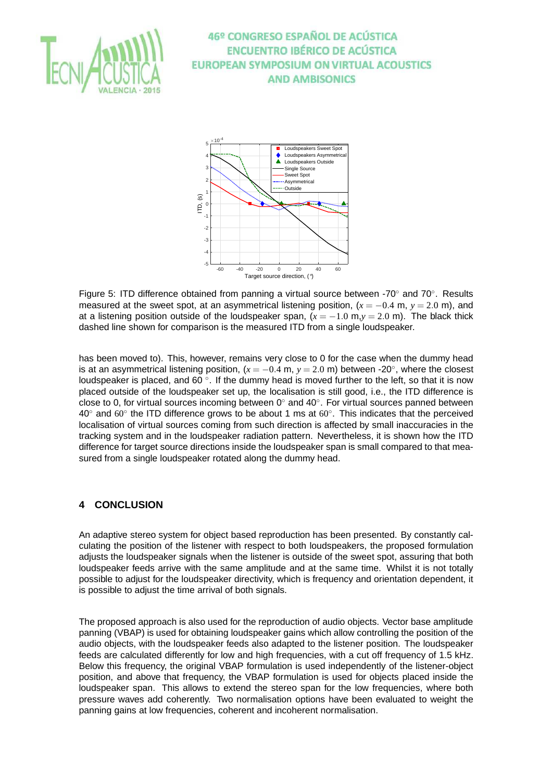



Figure 5: ITD difference obtained from panning a virtual source between -70° and 70°. Results measured at the sweet spot, at an asymmetrical listening position,  $(x = -0.4 \text{ m}, y = 2.0 \text{ m})$ , and at a listening position outside of the loudspeaker span,  $(x = -1.0 \text{ m}, y = 2.0 \text{ m})$ . The black thick dashed line shown for comparison is the measured ITD from a single loudspeaker.

has been moved to). This, however, remains very close to 0 for the case when the dummy head is at an asymmetrical listening position,  $(x = -0.4 \text{ m}, y = 2.0 \text{ m})$  between -20 $^{\circ}$ , where the closest loudspeaker is placed, and 60 $\degree$ . If the dummy head is moved further to the left, so that it is now placed outside of the loudspeaker set up, the localisation is still good, i.e., the ITD difference is close to 0, for virtual sources incoming between  $0^{\circ}$  and  $40^{\circ}$ . For virtual sources panned between 40 $\degree$  and 60 $\degree$  the ITD difference grows to be about 1 ms at 60 $\degree$ . This indicates that the perceived localisation of virtual sources coming from such direction is affected by small inaccuracies in the tracking system and in the loudspeaker radiation pattern. Nevertheless, it is shown how the ITD difference for target source directions inside the loudspeaker span is small compared to that measured from a single loudspeaker rotated along the dummy head.

### **4 CONCLUSION**

An adaptive stereo system for object based reproduction has been presented. By constantly calculating the position of the listener with respect to both loudspeakers, the proposed formulation adjusts the loudspeaker signals when the listener is outside of the sweet spot, assuring that both loudspeaker feeds arrive with the same amplitude and at the same time. Whilst it is not totally possible to adjust for the loudspeaker directivity, which is frequency and orientation dependent, it is possible to adjust the time arrival of both signals.

The proposed approach is also used for the reproduction of audio objects. Vector base amplitude panning (VBAP) is used for obtaining loudspeaker gains which allow controlling the position of the audio objects, with the loudspeaker feeds also adapted to the listener position. The loudspeaker feeds are calculated differently for low and high frequencies, with a cut off frequency of 1.5 kHz. Below this frequency, the original VBAP formulation is used independently of the listener-object position, and above that frequency, the VBAP formulation is used for objects placed inside the loudspeaker span. This allows to extend the stereo span for the low frequencies, where both pressure waves add coherently. Two normalisation options have been evaluated to weight the panning gains at low frequencies, coherent and incoherent normalisation.